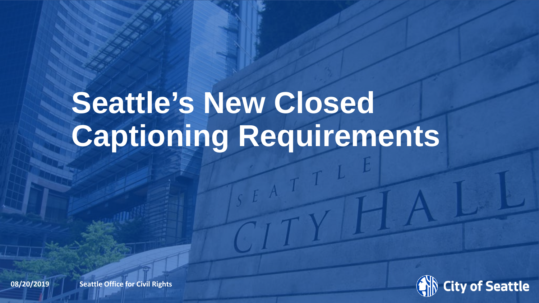### **Seattle's New Closed Captioning Requirements**



**08/20/2019 Date (Seattle Office for Civil Rights**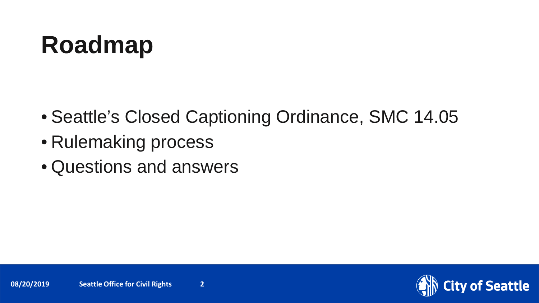#### **Roadmap**

- Seattle's Closed Captioning Ordinance, SMC 14.05
- Rulemaking process
- Questions and answers

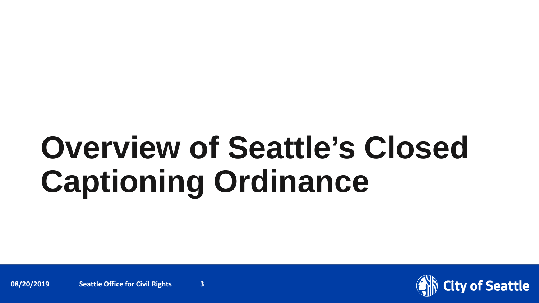## **Overview of Seattle's Closed Captioning Ordinance**

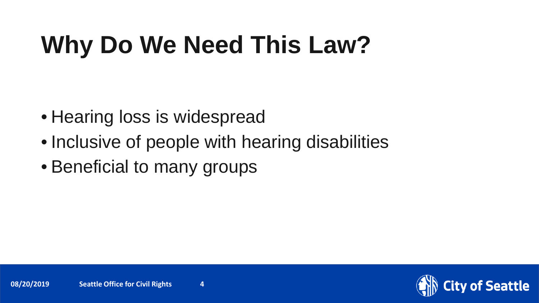#### **Why Do We Need This Law?**

- Hearing loss is widespread
- Inclusive of people with hearing disabilities
- Beneficial to many groups

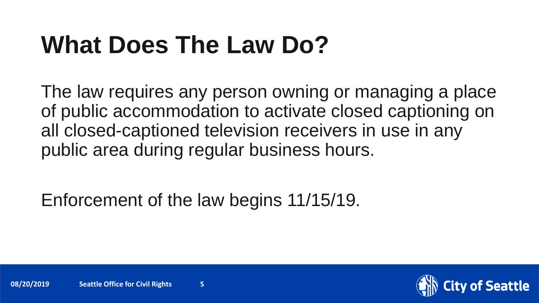#### **What Does The Law Do?**

The law requires any person owning or managing a place of public accommodation to activate closed captioning on all closed-captioned television receivers in use in any public area during regular business hours.

Enforcement of the law begins 11/15/19.

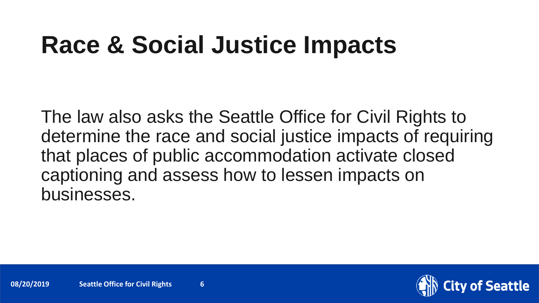#### **Race & Social Justice Impacts**

The law also asks the Seattle Office for Civil Rights to determine the race and social justice impacts of requiring that places of public accommodation activate closed captioning and assess how to lessen impacts on businesses.

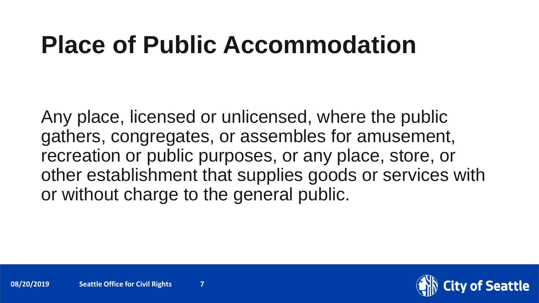#### **Place of Public Accommodation**

Any place, licensed or unlicensed, where the public gathers, congregates, or assembles for amusement, recreation or public purposes, or any place, store, or other establishment that supplies goods or services with or without charge to the general public.

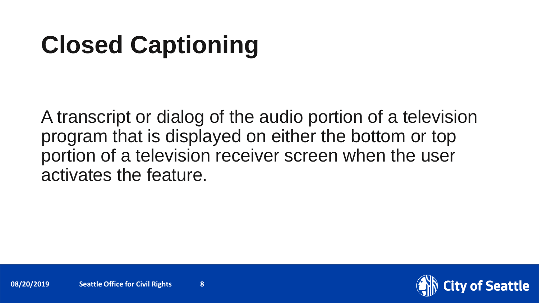#### **Closed Captioning**

A transcript or dialog of the audio portion of a television program that is displayed on either the bottom or top portion of a television receiver screen when the user activates the feature.

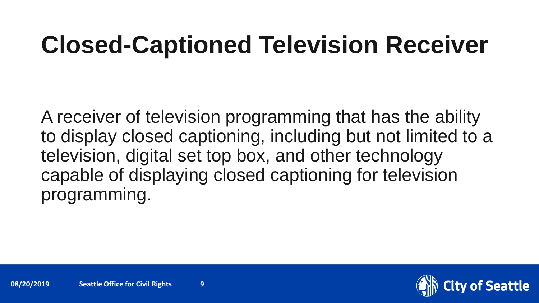#### **Closed-Captioned Television Receiver**

A receiver of television programming that has the ability to display closed captioning, including but not limited to a television, digital set top box, and other technology capable of displaying closed captioning for television programming.

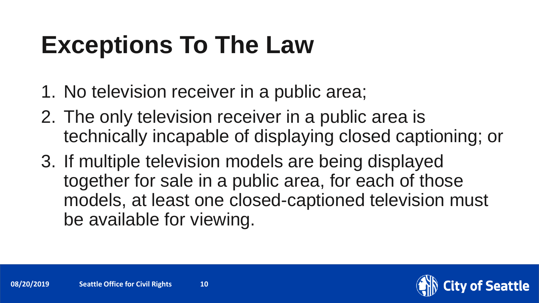#### **Exceptions To The Law**

- 1. No television receiver in a public area;
- 2. The only television receiver in a public area is technically incapable of displaying closed captioning; or
- 3. If multiple television models are being displayed together for sale in a public area, for each of those models, at least one closed-captioned television must be available for viewing.

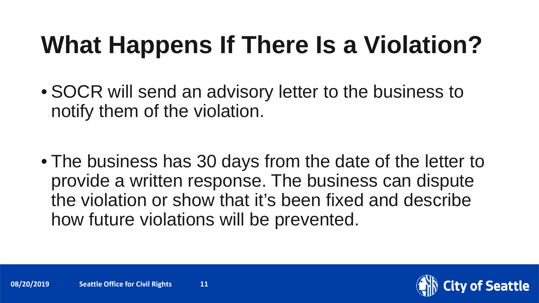#### **What Happens If There Is a Violation?**

• SOCR will send an advisory letter to the business to notify them of the violation.

• The business has 30 days from the date of the letter to provide a written response. The business can dispute the violation or show that it's been fixed and describe how future violations will be prevented.

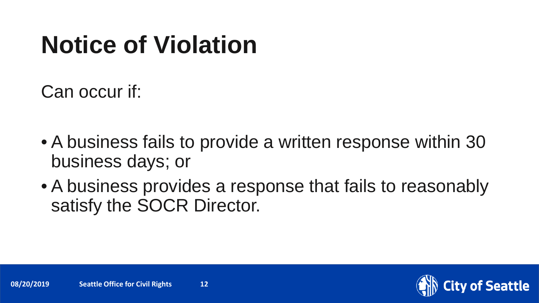#### **Notice of Violation**

Can occur if:

- A business fails to provide a written response within 30 business days; or
- A business provides a response that fails to reasonably satisfy the SOCR Director.

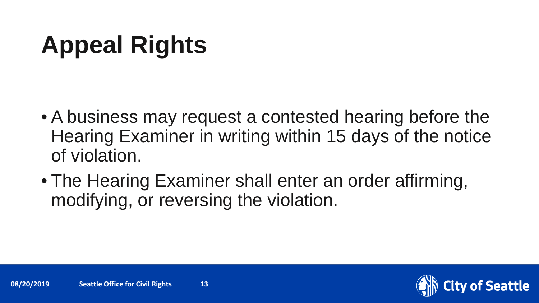#### **Appeal Rights**

- A business may request a contested hearing before the Hearing Examiner in writing within 15 days of the notice of violation.
- The Hearing Examiner shall enter an order affirming, modifying, or reversing the violation.

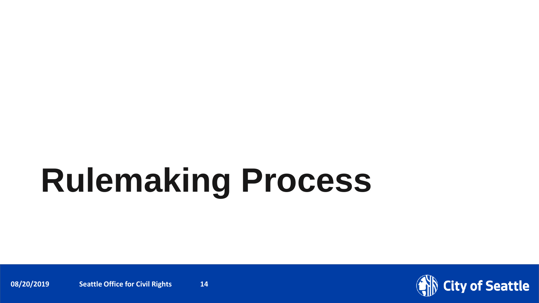# **Rulemaking Process**

**08/20/2019 Dattle Office for Civil Rights Page 14** 

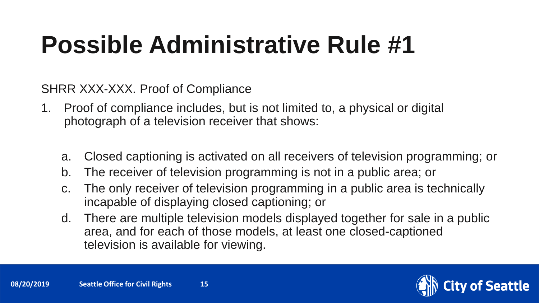#### **Possible Administrative Rule #1**

SHRR XXX-XXX. Proof of Compliance

- 1. Proof of compliance includes, but is not limited to, a physical or digital photograph of a television receiver that shows:
	- a. Closed captioning is activated on all receivers of television programming; or
	- b. The receiver of television programming is not in a public area; or
	- c. The only receiver of television programming in a public area is technically incapable of displaying closed captioning; or
	- d. There are multiple television models displayed together for sale in a public area, and for each of those models, at least one closed-captioned television is available for viewing.

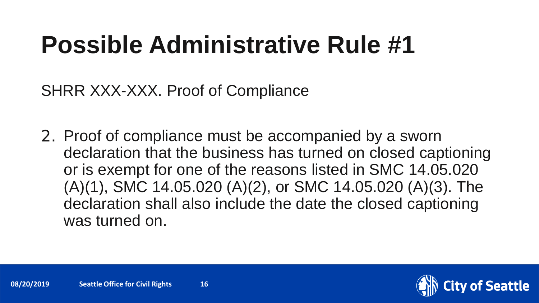#### **Possible Administrative Rule #1**

SHRR XXX-XXX. Proof of Compliance

2. Proof of compliance must be accompanied by a sworn declaration that the business has turned on closed captioning or is exempt for one of the reasons listed in SMC 14.05.020 (A)(1), SMC 14.05.020 (A)(2), or SMC 14.05.020 (A)(3). The declaration shall also include the date the closed captioning was turned on.

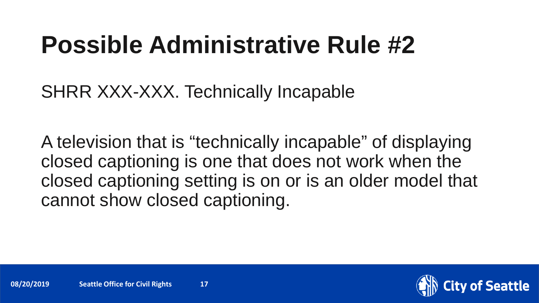#### **Possible Administrative Rule #2**

SHRR XXX-XXX. Technically Incapable

A television that is "technically incapable" of displaying closed captioning is one that does not work when the closed captioning setting is on or is an older model that cannot show closed captioning.

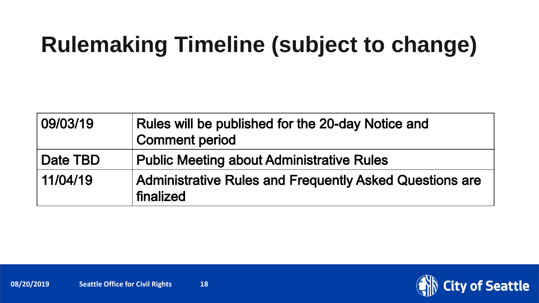#### **Rulemaking Timeline (subject to change)**

| 09/03/19 | Rules will be published for the 20-day Notice and<br><b>Comment period</b>  |
|----------|-----------------------------------------------------------------------------|
| Date TBD | <b>Public Meeting about Administrative Rules</b>                            |
| 11/04/19 | <b>Administrative Rules and Frequently Asked Questions are</b><br>finalized |